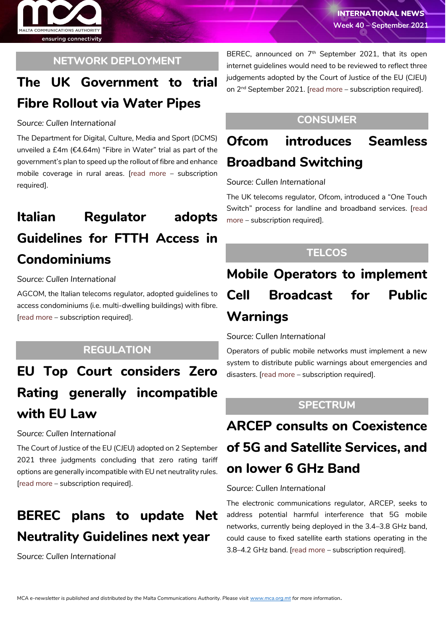

### **NETWORK DEPLOYMENT**

## **The UK Government to trial Fibre Rollout via Water Pipes**

### *Source: Cullen International*

The Department for Digital, Culture, Media and Sport (DCMS) unveiled a £4m (€4.64m) "Fibre in Water" trial as part of the government's plan to speed up the rollout of fibre and enhance mobile coverage in rural areas. [\[read more](https://www.cullen-international.com/client/site/documents/B5TEEU20210011_01e0256c-d3c5-45e1-baf9-87c3cea21949) – subscription required].

# **Italian Regulator adopts Guidelines for FTTH Access in Condominiums**

### *Source: Cullen International*

AGCOM, the Italian telecoms regulator, adopted guidelines to access condominiums (i.e. multi-dwelling buildings) with fibre. [[read more](https://www.cullen-international.com/client/site/documents/B5TEEU20210011_cf36d4dc-050d-4e39-b422-eeeee4071f0b) – subscription required].

## **REGULATION**

# **EU Top Court considers Zero Rating generally incompatible with EU Law**

### *Source: Cullen International*

The Court of Justice of the EU (CJEU) adopted on 2 September 2021 three judgments concluding that zero rating tariff options are generally incompatible with EU net neutrality rules. [\[read more](https://www.cullen-international.com/client/site/documents/B5TEEU20210011_f06fe495-1ec5-4547-a6fb-1ca563097795) – subscription required].

## **BEREC plans to update Net Neutrality Guidelines next year**

*Source: Cullen International*

BEREC, announced on 7<sup>th</sup> September 2021, that its open internet guidelines would need to be reviewed to reflect three judgements adopted by the Court of Justice of the EU (CJEU) on 2<sup>nd</sup> September 2021. [\[read more](https://www.cullen-international.com/client/site/documents/FLTEEP20210054) – subscription required].

## **CONSUMER**

## **Ofcom introduces Seamless Broadband Switching**

### *Source: Cullen International*

The UK telecoms regulator, Ofcom, introduced a "One Touch Switch" process for landline and broadband services. [\[read](https://www.cullen-international.com/client/site/documents/B5TEEU20210011_34366d40-2156-4896-a988-23e2007e8bbe)  [more](https://www.cullen-international.com/client/site/documents/B5TEEU20210011_34366d40-2156-4896-a988-23e2007e8bbe) – subscription required].

### **TELCOS**

# **Mobile Operators to implement Cell Broadcast for Public Warnings**

### *Source: Cullen International*

Operators of public mobile networks must implement a new system to distribute public warnings about emergencies and disasters. [\[read more](https://www.cullen-international.com/client/site/documents/B5TEEU20210011_1a29a801-6da7-4ce1-b846-63a434c0f9a7) – subscription required].

### **SPECTRUM**

# **ARCEP consults on Coexistence of 5G and Satellite Services, and on lower 6 GHz Band**

### *Source: Cullen International*

The electronic communications regulator, ARCEP, seeks to address potential harmful interference that 5G mobile networks, currently being deployed in the 3.4–3.8 GHz band, could cause to fixed satellite earth stations operating in the 3.8–4.2 GHz band. [\[read more](https://www.cullen-international.com/client/site/documents/B5TEEU20210011_2611d834-8800-43d4-a668-f91ace5de609) – subscription required].